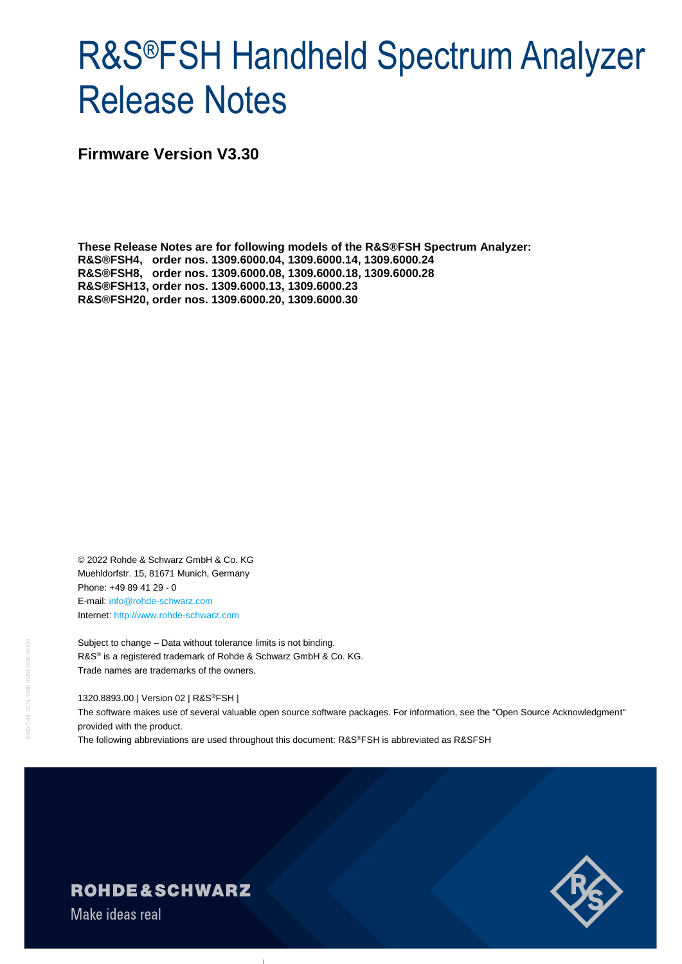# R&S®FSH Handheld Spectrum Analyzer Release Notes

**Firmware Version V3.30**

**These Release Notes are for following models of the R&S®FSH Spectrum Analyzer: R&S®FSH4, order nos. 1309.6000.04, 1309.6000.14, 1309.6000.24 R&S®FSH8, order nos. 1309.6000.08, 1309.6000.18, 1309.6000.28 R&S®FSH13, order nos. 1309.6000.13, 1309.6000.23 R&S®FSH20, order nos. 1309.6000.20, 1309.6000.30**

© 2022 Rohde & Schwarz GmbH & Co. KG Muehldorfstr. 15, 81671 Munich, Germany Phone: +49 89 41 29 - 0 E-mail: [info@rohde-schwarz.com](mailto:info@rohde-schwarz.com) Internet[: http://www.rohde-schwarz.com](http://www.rohde-schwarz.com/)

Subject to change – Data without tolerance limits is not binding. R&S<sup>®</sup> is a registered trademark of Rohde & Schwarz GmbH & Co. KG. Trade names are trademarks of the owners.

1320.8893.00 | Version 02 | R&S®FSH |

The software makes use of several valuable open source software packages. For information, see the "Open Source Acknowledgment" provided with the product.

The following abbreviations are used throughout this document: R&S®FSH is abbreviated as R&SFSH



**ROHDE&SCHWARZ** 

Make ideas real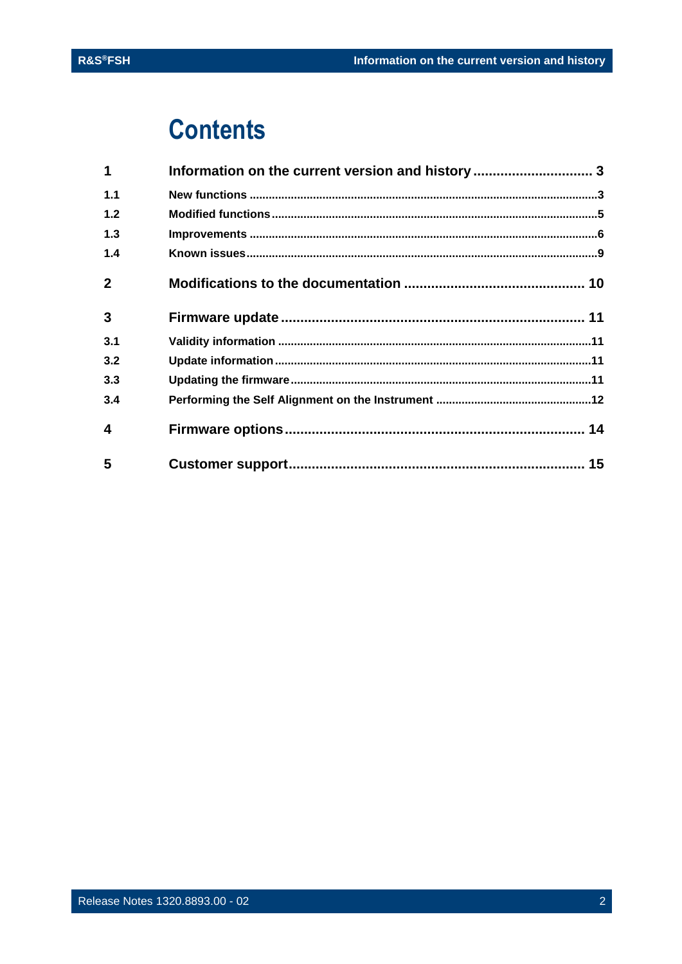## **Contents**

| 1              | Information on the current version and history  3 |  |
|----------------|---------------------------------------------------|--|
| 1.1            |                                                   |  |
| 1.2            |                                                   |  |
| 1.3            |                                                   |  |
| 1.4            |                                                   |  |
| $\overline{2}$ |                                                   |  |
| 3              |                                                   |  |
| 3.1            |                                                   |  |
| 3.2            |                                                   |  |
| 3.3            |                                                   |  |
| 3.4            |                                                   |  |
| 4              |                                                   |  |
| 5              |                                                   |  |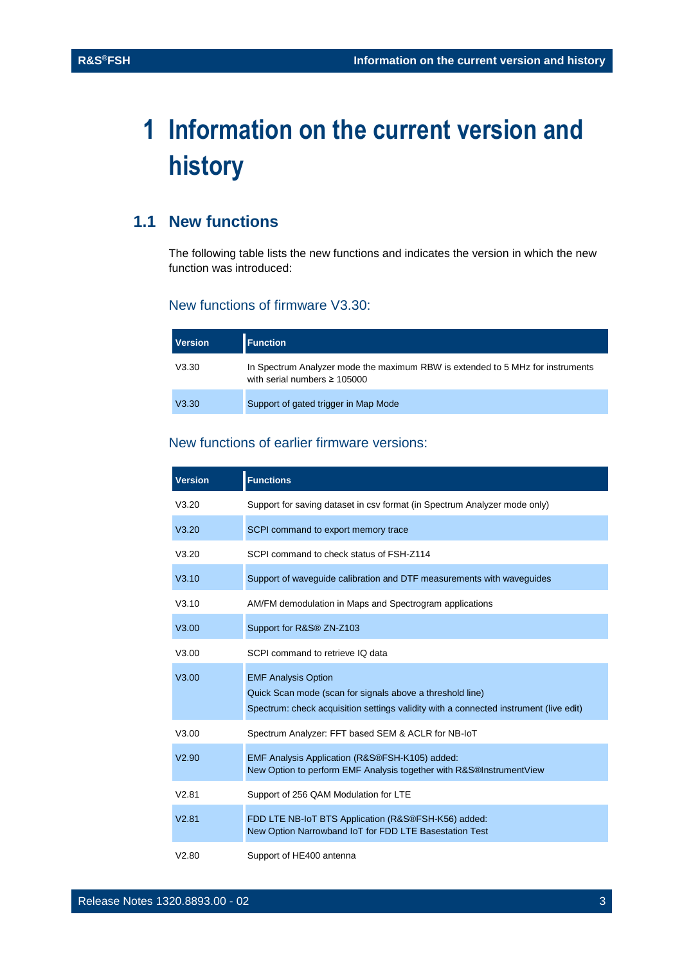## <span id="page-2-0"></span>**1 Information on the current version and history**

## <span id="page-2-1"></span>**1.1 New functions**

The following table lists the new functions and indicates the version in which the new function was introduced:

#### New functions of firmware V3.30:

| <b>Version</b> | <b>Function</b>                                                                                                     |
|----------------|---------------------------------------------------------------------------------------------------------------------|
| V3.30          | In Spectrum Analyzer mode the maximum RBW is extended to 5 MHz for instruments<br>with serial numbers $\geq 105000$ |
| V3.30          | Support of gated trigger in Map Mode                                                                                |

### New functions of earlier firmware versions:

| <b>Version</b> | <b>Functions</b>                                                                                                                                                                 |
|----------------|----------------------------------------------------------------------------------------------------------------------------------------------------------------------------------|
| V3.20          | Support for saving dataset in csv format (in Spectrum Analyzer mode only)                                                                                                        |
| V3.20          | SCPI command to export memory trace                                                                                                                                              |
| V3.20          | SCPI command to check status of FSH-Z114                                                                                                                                         |
| V3.10          | Support of waveguide calibration and DTF measurements with waveguides                                                                                                            |
| V3.10          | AM/FM demodulation in Maps and Spectrogram applications                                                                                                                          |
| V3.00          | Support for R&S® ZN-Z103                                                                                                                                                         |
| V3.00          | SCPI command to retrieve IQ data                                                                                                                                                 |
| V3.00          | <b>EMF Analysis Option</b><br>Quick Scan mode (scan for signals above a threshold line)<br>Spectrum: check acquisition settings validity with a connected instrument (live edit) |
| V3.00          | Spectrum Analyzer: FFT based SEM & ACLR for NB-IoT                                                                                                                               |
| V2.90          | EMF Analysis Application (R&S®FSH-K105) added:<br>New Option to perform EMF Analysis together with R&S®InstrumentView                                                            |
| V2.81          | Support of 256 QAM Modulation for LTE                                                                                                                                            |
| V2.81          | FDD LTE NB-IoT BTS Application (R&S®FSH-K56) added:<br>New Option Narrowband IoT for FDD LTE Basestation Test                                                                    |
| V2.80          | Support of HE400 antenna                                                                                                                                                         |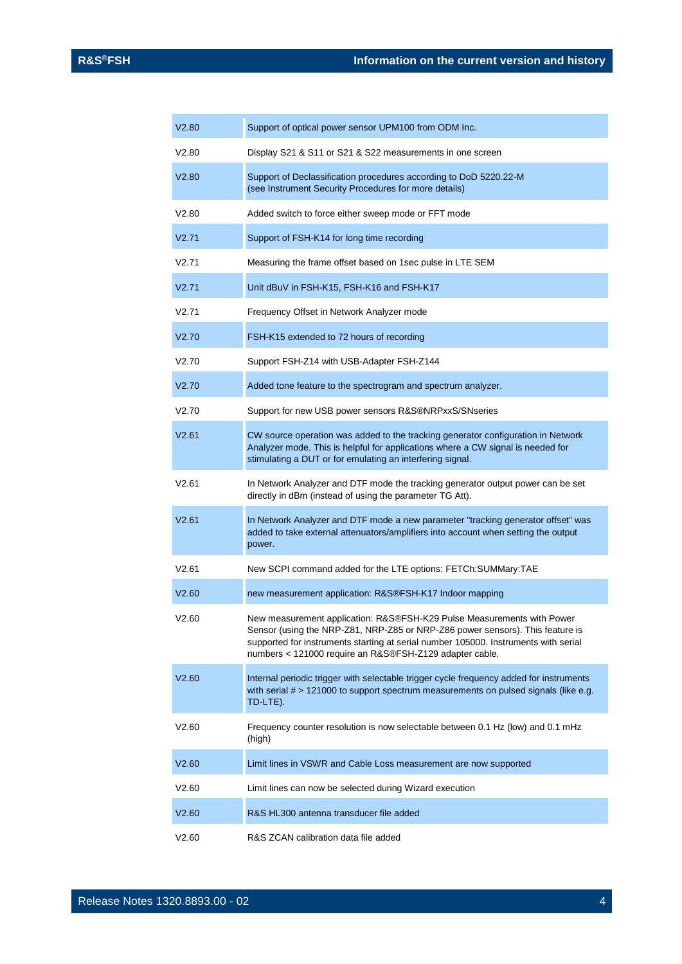| V2.80 | Support of optical power sensor UPM100 from ODM Inc.                                                                                                                                                                                                                                                      |
|-------|-----------------------------------------------------------------------------------------------------------------------------------------------------------------------------------------------------------------------------------------------------------------------------------------------------------|
| V2.80 | Display S21 & S11 or S21 & S22 measurements in one screen                                                                                                                                                                                                                                                 |
| V2.80 | Support of Declassification procedures according to DoD 5220.22-M<br>(see Instrument Security Procedures for more details)                                                                                                                                                                                |
| V2.80 | Added switch to force either sweep mode or FFT mode                                                                                                                                                                                                                                                       |
| V2.71 | Support of FSH-K14 for long time recording                                                                                                                                                                                                                                                                |
| V2.71 | Measuring the frame offset based on 1sec pulse in LTE SEM                                                                                                                                                                                                                                                 |
| V2.71 | Unit dBuV in FSH-K15, FSH-K16 and FSH-K17                                                                                                                                                                                                                                                                 |
| V2.71 | Frequency Offset in Network Analyzer mode                                                                                                                                                                                                                                                                 |
| V2.70 | FSH-K15 extended to 72 hours of recording                                                                                                                                                                                                                                                                 |
| V2.70 | Support FSH-Z14 with USB-Adapter FSH-Z144                                                                                                                                                                                                                                                                 |
| V2.70 | Added tone feature to the spectrogram and spectrum analyzer.                                                                                                                                                                                                                                              |
| V2.70 | Support for new USB power sensors R&S®NRPxxS/SNseries                                                                                                                                                                                                                                                     |
| V2.61 | CW source operation was added to the tracking generator configuration in Network<br>Analyzer mode. This is helpful for applications where a CW signal is needed for<br>stimulating a DUT or for emulating an interfering signal.                                                                          |
| V2.61 | In Network Analyzer and DTF mode the tracking generator output power can be set<br>directly in dBm (instead of using the parameter TG Att).                                                                                                                                                               |
| V2.61 | In Network Analyzer and DTF mode a new parameter "tracking generator offset" was<br>added to take external attenuators/amplifiers into account when setting the output<br>power.                                                                                                                          |
| V2.61 | New SCPI command added for the LTE options: FETCh:SUMMary:TAE                                                                                                                                                                                                                                             |
| V2.60 | new measurement application: R&S®FSH-K17 Indoor mapping                                                                                                                                                                                                                                                   |
| V2.60 | New measurement application: R&S®FSH-K29 Pulse Measurements with Power<br>Sensor (using the NRP-Z81, NRP-Z85 or NRP-Z86 power sensors). This feature is<br>supported for instruments starting at serial number 105000. Instruments with serial<br>numbers < 121000 require an R&S®FSH-Z129 adapter cable. |
| V2.60 | Internal periodic trigger with selectable trigger cycle frequency added for instruments<br>with serial # > 121000 to support spectrum measurements on pulsed signals (like e.g.<br>TD-LTE).                                                                                                               |
| V2.60 | Frequency counter resolution is now selectable between 0.1 Hz (low) and 0.1 mHz<br>(high)                                                                                                                                                                                                                 |
| V2.60 | Limit lines in VSWR and Cable Loss measurement are now supported                                                                                                                                                                                                                                          |
| V2.60 | Limit lines can now be selected during Wizard execution                                                                                                                                                                                                                                                   |
| V2.60 | R&S HL300 antenna transducer file added                                                                                                                                                                                                                                                                   |
| V2.60 | R&S ZCAN calibration data file added                                                                                                                                                                                                                                                                      |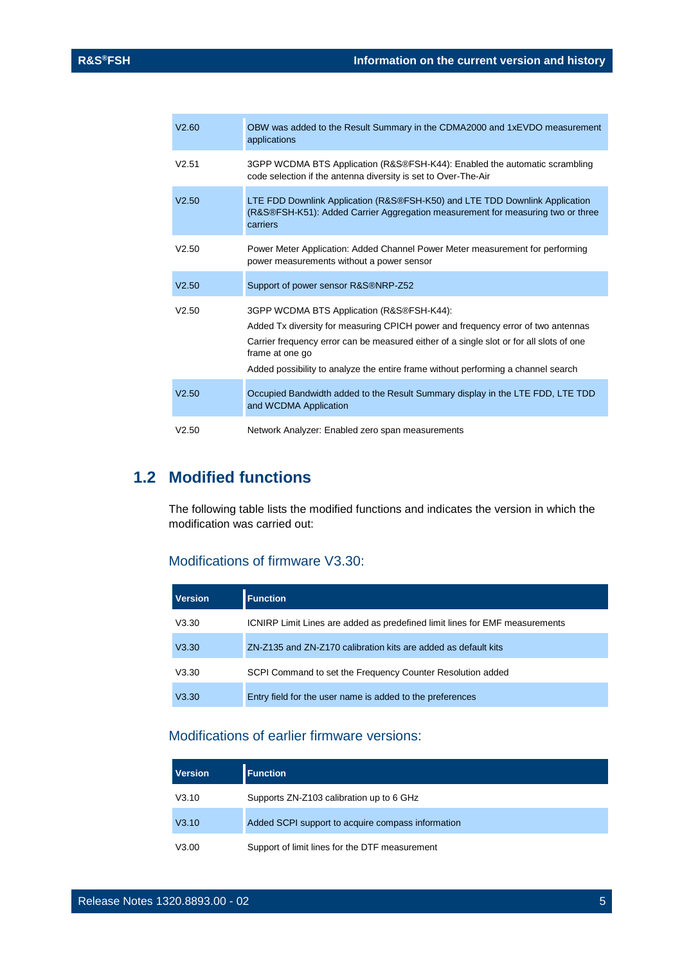| V2.60 | OBW was added to the Result Summary in the CDMA2000 and 1xEVDO measurement<br>applications                                                                                                                                                                                                                                       |
|-------|----------------------------------------------------------------------------------------------------------------------------------------------------------------------------------------------------------------------------------------------------------------------------------------------------------------------------------|
| V2.51 | 3GPP WCDMA BTS Application (R&S®FSH-K44): Enabled the automatic scrambling<br>code selection if the antenna diversity is set to Over-The-Air                                                                                                                                                                                     |
| V2.50 | LTE FDD Downlink Application (R&S®FSH-K50) and LTE TDD Downlink Application<br>(R&S®FSH-K51): Added Carrier Aggregation measurement for measuring two or three<br>carriers                                                                                                                                                       |
| V2.50 | Power Meter Application: Added Channel Power Meter measurement for performing<br>power measurements without a power sensor                                                                                                                                                                                                       |
| V2.50 | Support of power sensor R&S®NRP-Z52                                                                                                                                                                                                                                                                                              |
| V2.50 | 3GPP WCDMA BTS Application (R&S®FSH-K44):<br>Added Tx diversity for measuring CPICH power and frequency error of two antennas<br>Carrier frequency error can be measured either of a single slot or for all slots of one<br>frame at one go<br>Added possibility to analyze the entire frame without performing a channel search |
| V2.50 | Occupied Bandwidth added to the Result Summary display in the LTE FDD, LTE TDD<br>and WCDMA Application                                                                                                                                                                                                                          |
| V2.50 | Network Analyzer: Enabled zero span measurements                                                                                                                                                                                                                                                                                 |

## <span id="page-4-0"></span>**1.2 Modified functions**

The following table lists the modified functions and indicates the version in which the modification was carried out:

## Modifications of firmware V3.30:

| <b>Version</b> | <b>Function</b>                                                             |
|----------------|-----------------------------------------------------------------------------|
| V3.30          | ICNIRP Limit Lines are added as predefined limit lines for EMF measurements |
| V3.30          | ZN-Z135 and ZN-Z170 calibration kits are added as default kits              |
| V3.30          | SCPI Command to set the Frequency Counter Resolution added                  |
| V3.30          | Entry field for the user name is added to the preferences                   |

### Modifications of earlier firmware versions:

| <b>Version</b> | <b>Function</b>                                   |
|----------------|---------------------------------------------------|
| V3.10          | Supports ZN-Z103 calibration up to 6 GHz          |
| V3.10          | Added SCPI support to acquire compass information |
| V3.00          | Support of limit lines for the DTF measurement    |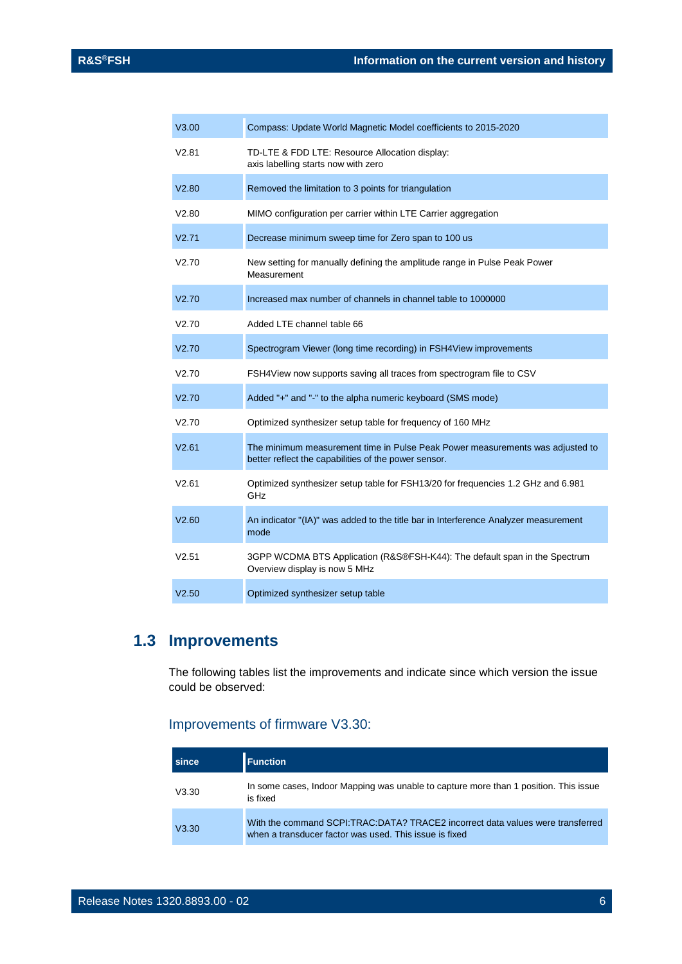| V3.00 | Compass: Update World Magnetic Model coefficients to 2015-2020                                                                        |
|-------|---------------------------------------------------------------------------------------------------------------------------------------|
| V2.81 | TD-LTE & FDD LTE: Resource Allocation display:<br>axis labelling starts now with zero                                                 |
| V2.80 | Removed the limitation to 3 points for triangulation                                                                                  |
| V2.80 | MIMO configuration per carrier within LTE Carrier aggregation                                                                         |
| V2.71 | Decrease minimum sweep time for Zero span to 100 us                                                                                   |
| V2.70 | New setting for manually defining the amplitude range in Pulse Peak Power<br>Measurement                                              |
| V2.70 | Increased max number of channels in channel table to 1000000                                                                          |
| V2.70 | Added LTE channel table 66                                                                                                            |
| V2.70 | Spectrogram Viewer (long time recording) in FSH4View improvements                                                                     |
| V2.70 | FSH4View now supports saving all traces from spectrogram file to CSV                                                                  |
| V2.70 | Added "+" and "-" to the alpha numeric keyboard (SMS mode)                                                                            |
| V2.70 | Optimized synthesizer setup table for frequency of 160 MHz                                                                            |
| V2.61 | The minimum measurement time in Pulse Peak Power measurements was adjusted to<br>better reflect the capabilities of the power sensor. |
| V2.61 | Optimized synthesizer setup table for FSH13/20 for frequencies 1.2 GHz and 6.981<br>GHz                                               |
| V2.60 | An indicator "(IA)" was added to the title bar in Interference Analyzer measurement<br>mode                                           |
| V2.51 | 3GPP WCDMA BTS Application (R&S®FSH-K44): The default span in the Spectrum<br>Overview display is now 5 MHz                           |
| V2.50 | Optimized synthesizer setup table                                                                                                     |

## <span id="page-5-0"></span>**1.3 Improvements**

The following tables list the improvements and indicate since which version the issue could be observed:

## Improvements of firmware V3.30:

| since | <b>Function</b>                                                                                                                          |
|-------|------------------------------------------------------------------------------------------------------------------------------------------|
| V3.30 | In some cases, Indoor Mapping was unable to capture more than 1 position. This issue<br>is fixed                                         |
| V3.30 | With the command SCPI:TRAC:DATA? TRACE2 incorrect data values were transferred<br>when a transducer factor was used. This issue is fixed |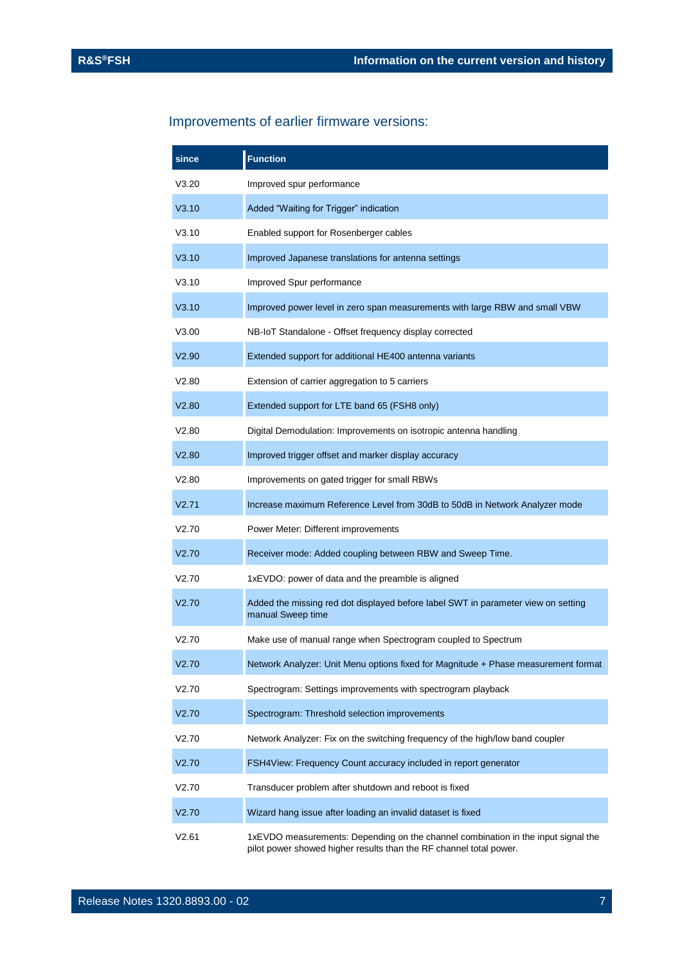## Improvements of earlier firmware versions:

| since | <b>Function</b>                                                                                                                                         |
|-------|---------------------------------------------------------------------------------------------------------------------------------------------------------|
| V3.20 | Improved spur performance                                                                                                                               |
| V3.10 | Added "Waiting for Trigger" indication                                                                                                                  |
| V3.10 | Enabled support for Rosenberger cables                                                                                                                  |
| V3.10 | Improved Japanese translations for antenna settings                                                                                                     |
| V3.10 | Improved Spur performance                                                                                                                               |
| V3.10 | Improved power level in zero span measurements with large RBW and small VBW                                                                             |
| V3.00 | NB-IoT Standalone - Offset frequency display corrected                                                                                                  |
| V2.90 | Extended support for additional HE400 antenna variants                                                                                                  |
| V2.80 | Extension of carrier aggregation to 5 carriers                                                                                                          |
| V2.80 | Extended support for LTE band 65 (FSH8 only)                                                                                                            |
| V2.80 | Digital Demodulation: Improvements on isotropic antenna handling                                                                                        |
| V2.80 | Improved trigger offset and marker display accuracy                                                                                                     |
| V2.80 | Improvements on gated trigger for small RBWs                                                                                                            |
| V2.71 | Increase maximum Reference Level from 30dB to 50dB in Network Analyzer mode                                                                             |
| V2.70 | Power Meter: Different improvements                                                                                                                     |
| V2.70 | Receiver mode: Added coupling between RBW and Sweep Time.                                                                                               |
| V2.70 | 1xEVDO: power of data and the preamble is aligned                                                                                                       |
| V2.70 | Added the missing red dot displayed before label SWT in parameter view on setting<br>manual Sweep time                                                  |
| V2.70 | Make use of manual range when Spectrogram coupled to Spectrum                                                                                           |
| V2.70 | Network Analyzer: Unit Menu options fixed for Magnitude + Phase measurement format                                                                      |
| V2.70 | Spectrogram: Settings improvements with spectrogram playback                                                                                            |
| V2.70 | Spectrogram: Threshold selection improvements                                                                                                           |
| V2.70 | Network Analyzer: Fix on the switching frequency of the high/low band coupler                                                                           |
| V2.70 | FSH4View: Frequency Count accuracy included in report generator                                                                                         |
| V2.70 | Transducer problem after shutdown and reboot is fixed                                                                                                   |
| V2.70 | Wizard hang issue after loading an invalid dataset is fixed                                                                                             |
| V2.61 | 1xEVDO measurements: Depending on the channel combination in the input signal the<br>pilot power showed higher results than the RF channel total power. |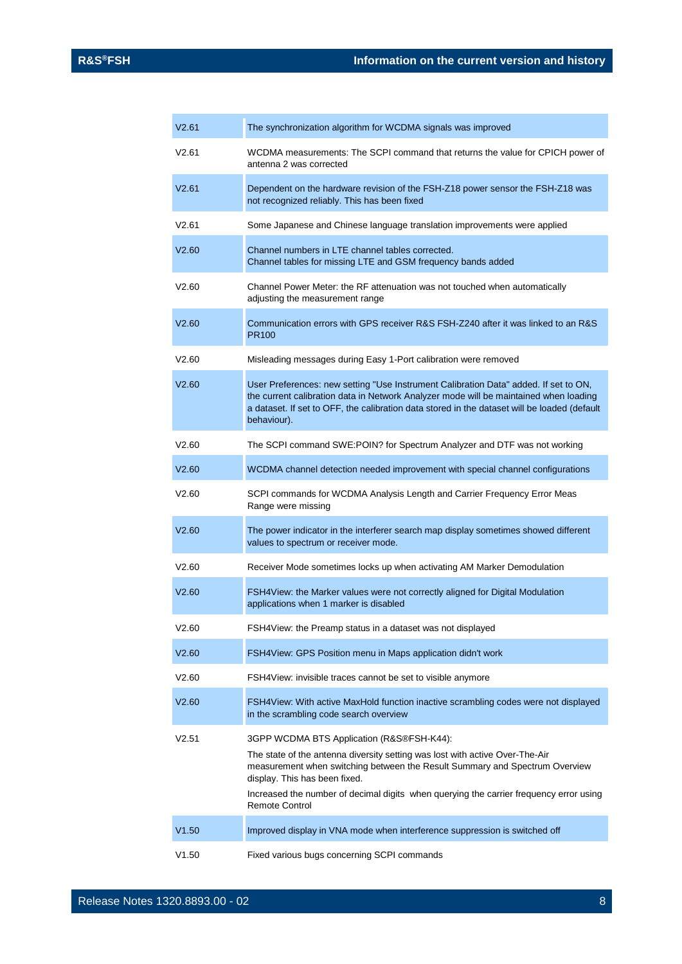| V2.61 | The synchronization algorithm for WCDMA signals was improved                                                                                                                                                                                                                                                                                                 |
|-------|--------------------------------------------------------------------------------------------------------------------------------------------------------------------------------------------------------------------------------------------------------------------------------------------------------------------------------------------------------------|
| V2.61 | WCDMA measurements: The SCPI command that returns the value for CPICH power of<br>antenna 2 was corrected                                                                                                                                                                                                                                                    |
| V2.61 | Dependent on the hardware revision of the FSH-Z18 power sensor the FSH-Z18 was<br>not recognized reliably. This has been fixed                                                                                                                                                                                                                               |
| V2.61 | Some Japanese and Chinese language translation improvements were applied                                                                                                                                                                                                                                                                                     |
| V2.60 | Channel numbers in LTE channel tables corrected.<br>Channel tables for missing LTE and GSM frequency bands added                                                                                                                                                                                                                                             |
| V2.60 | Channel Power Meter: the RF attenuation was not touched when automatically<br>adjusting the measurement range                                                                                                                                                                                                                                                |
| V2.60 | Communication errors with GPS receiver R&S FSH-Z240 after it was linked to an R&S<br><b>PR100</b>                                                                                                                                                                                                                                                            |
| V2.60 | Misleading messages during Easy 1-Port calibration were removed                                                                                                                                                                                                                                                                                              |
| V2.60 | User Preferences: new setting "Use Instrument Calibration Data" added. If set to ON,<br>the current calibration data in Network Analyzer mode will be maintained when loading<br>a dataset. If set to OFF, the calibration data stored in the dataset will be loaded (default<br>behaviour).                                                                 |
| V2.60 | The SCPI command SWE:POIN? for Spectrum Analyzer and DTF was not working                                                                                                                                                                                                                                                                                     |
| V2.60 | WCDMA channel detection needed improvement with special channel configurations                                                                                                                                                                                                                                                                               |
| V2.60 | SCPI commands for WCDMA Analysis Length and Carrier Frequency Error Meas<br>Range were missing                                                                                                                                                                                                                                                               |
| V2.60 | The power indicator in the interferer search map display sometimes showed different<br>values to spectrum or receiver mode.                                                                                                                                                                                                                                  |
| V2.60 | Receiver Mode sometimes locks up when activating AM Marker Demodulation                                                                                                                                                                                                                                                                                      |
| V2.60 | FSH4View: the Marker values were not correctly aligned for Digital Modulation<br>applications when 1 marker is disabled                                                                                                                                                                                                                                      |
| V2.60 | FSH4View: the Preamp status in a dataset was not displayed                                                                                                                                                                                                                                                                                                   |
| V2.60 | FSH4View: GPS Position menu in Maps application didn't work                                                                                                                                                                                                                                                                                                  |
| V2.60 | FSH4View: invisible traces cannot be set to visible anymore                                                                                                                                                                                                                                                                                                  |
| V2.60 | FSH4View: With active MaxHold function inactive scrambling codes were not displayed<br>in the scrambling code search overview                                                                                                                                                                                                                                |
| V2.51 | 3GPP WCDMA BTS Application (R&S®FSH-K44):<br>The state of the antenna diversity setting was lost with active Over-The-Air<br>measurement when switching between the Result Summary and Spectrum Overview<br>display. This has been fixed.<br>Increased the number of decimal digits when querying the carrier frequency error using<br><b>Remote Control</b> |
| V1.50 | Improved display in VNA mode when interference suppression is switched off                                                                                                                                                                                                                                                                                   |
| V1.50 | Fixed various bugs concerning SCPI commands                                                                                                                                                                                                                                                                                                                  |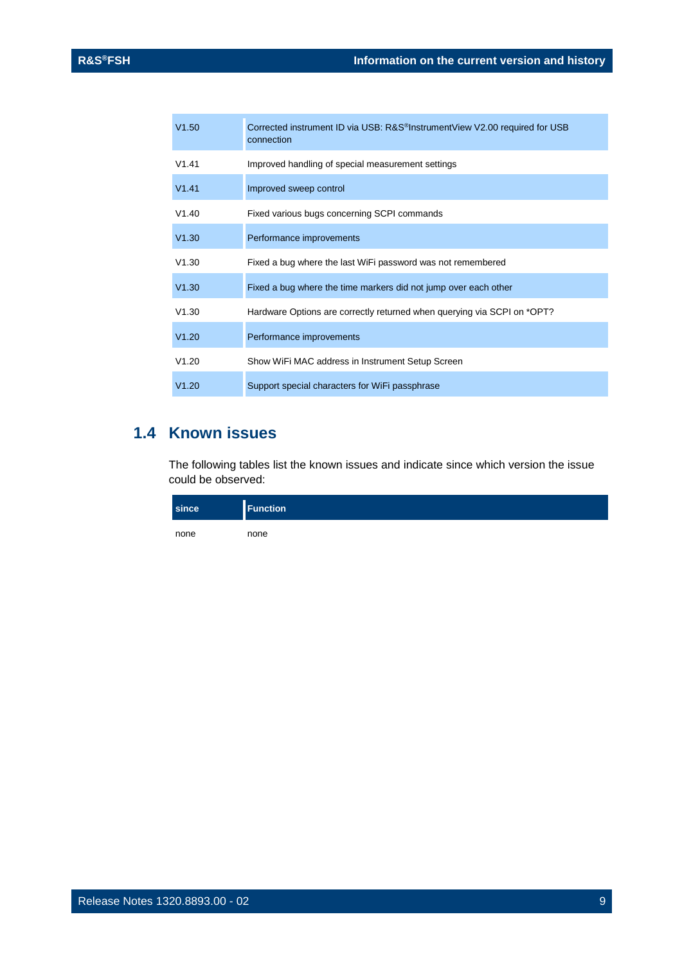| V1.50 | Corrected instrument ID via USB: R&S <sup>®</sup> InstrumentView V2.00 required for USB<br>connection |
|-------|-------------------------------------------------------------------------------------------------------|
| V1.41 | Improved handling of special measurement settings                                                     |
| V1.41 | Improved sweep control                                                                                |
| V1.40 | Fixed various bugs concerning SCPI commands                                                           |
| V1.30 | Performance improvements                                                                              |
| V1.30 | Fixed a bug where the last WiFi password was not remembered                                           |
| V1.30 | Fixed a bug where the time markers did not jump over each other                                       |
| V1.30 | Hardware Options are correctly returned when querying via SCPI on *OPT?                               |
| V1.20 | Performance improvements                                                                              |
| V1.20 | Show WiFi MAC address in Instrument Setup Screen                                                      |
| V1.20 | Support special characters for WiFi passphrase                                                        |

## <span id="page-8-0"></span>**1.4 Known issues**

The following tables list the known issues and indicate since which version the issue could be observed:

| since | <b>Function</b> |
|-------|-----------------|
| none  | none            |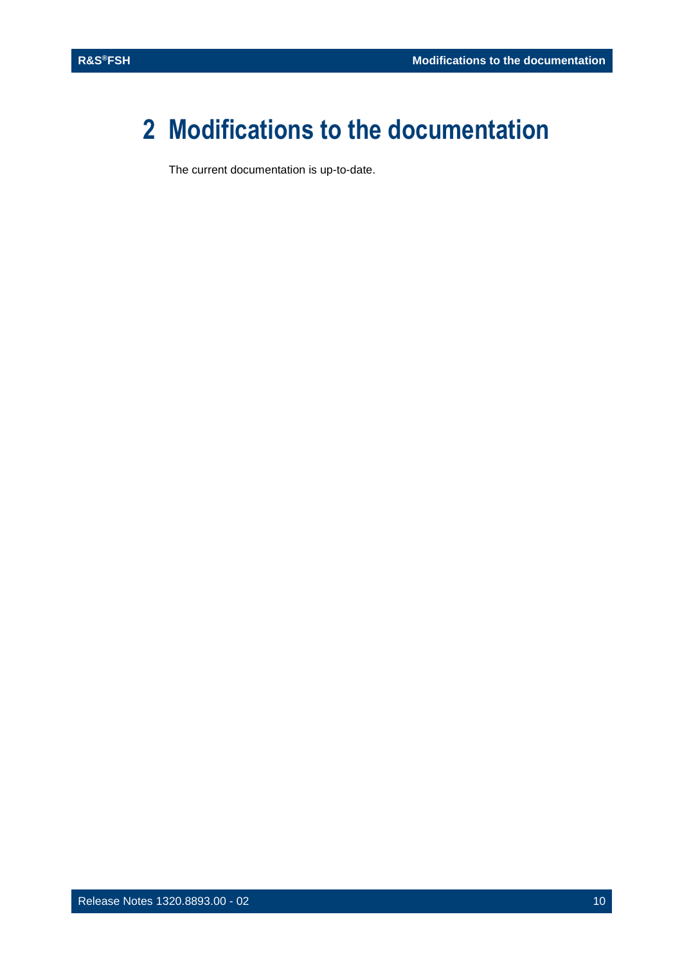## <span id="page-9-0"></span>**2 Modifications to the documentation**

The current documentation is up-to-date.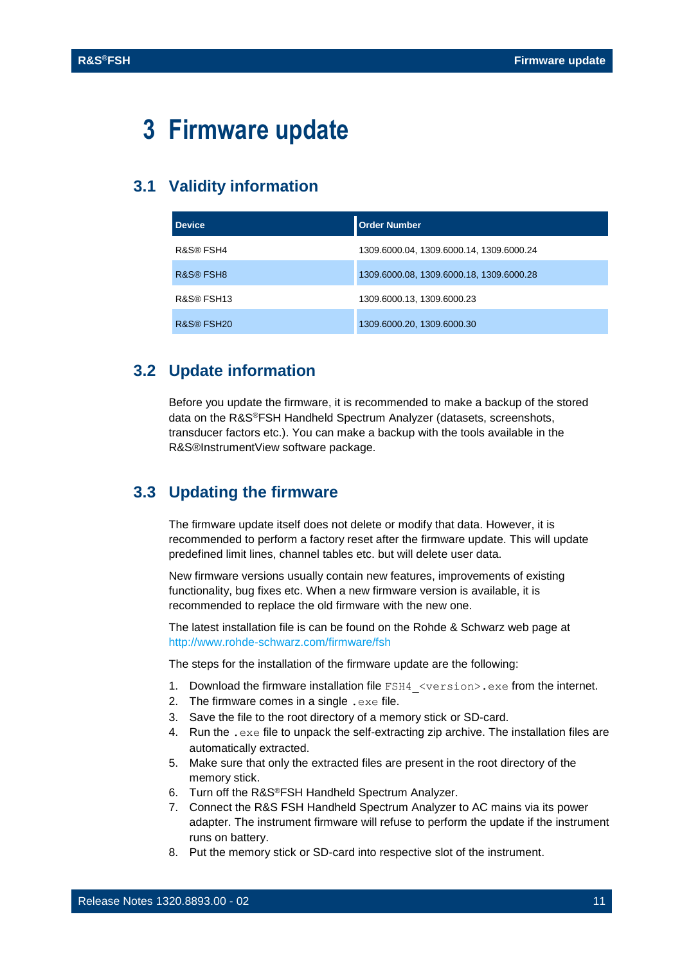## <span id="page-10-0"></span>**3 Firmware update**

## <span id="page-10-1"></span>**3.1 Validity information**

| <b>Device</b> | <b>Order Number</b>                      |
|---------------|------------------------------------------|
| R&S® FSH4     | 1309.6000.04, 1309.6000.14, 1309.6000.24 |
| R&S® FSH8     | 1309.6000.08, 1309.6000.18, 1309.6000.28 |
| R&S® FSH13    | 1309.6000.13, 1309.6000.23               |
| R&S® FSH20    | 1309.6000.20, 1309.6000.30               |

### <span id="page-10-2"></span>**3.2 Update information**

Before you update the firmware, it is recommended to make a backup of the stored data on the R&S®FSH Handheld Spectrum Analyzer (datasets, screenshots, transducer factors etc.). You can make a backup with the tools available in the R&S®InstrumentView software package.

### <span id="page-10-3"></span>**3.3 Updating the firmware**

The firmware update itself does not delete or modify that data. However, it is recommended to perform a factory reset after the firmware update. This will update predefined limit lines, channel tables etc. but will delete user data.

New firmware versions usually contain new features, improvements of existing functionality, bug fixes etc. When a new firmware version is available, it is recommended to replace the old firmware with the new one.

The latest installation file is can be found on the Rohde & Schwarz web page at <http://www.rohde-schwarz.com/firmware/fsh>

The steps for the installation of the firmware update are the following:

- 1. Download the firmware installation file FSH4 <version>.exe from the internet.
- 2. The firmware comes in a single  $.$  exe file.
- 3. Save the file to the root directory of a memory stick or SD-card.
- 4. Run the .exe file to unpack the self-extracting zip archive. The installation files are automatically extracted.
- 5. Make sure that only the extracted files are present in the root directory of the memory stick.
- 6. Turn off the R&S®FSH Handheld Spectrum Analyzer.
- 7. Connect the R&S FSH Handheld Spectrum Analyzer to AC mains via its power adapter. The instrument firmware will refuse to perform the update if the instrument runs on battery.
- 8. Put the memory stick or SD-card into respective slot of the instrument.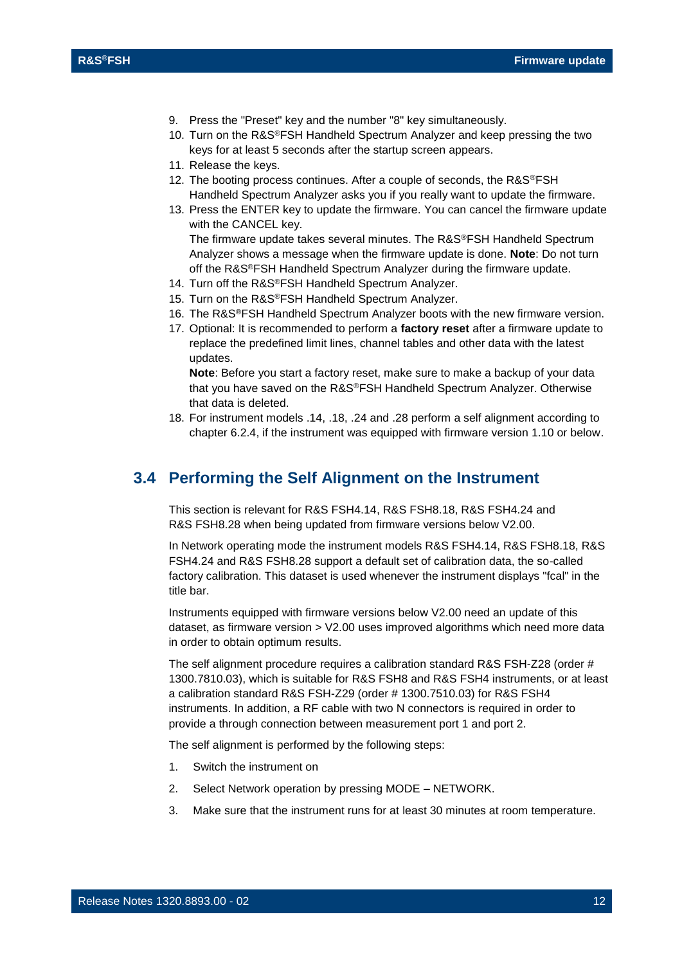- 9. Press the "Preset" key and the number "8" key simultaneously.
- 10. Turn on the R&S®FSH Handheld Spectrum Analyzer and keep pressing the two keys for at least 5 seconds after the startup screen appears.
- 11. Release the keys.
- 12. The booting process continues. After a couple of seconds, the R&S®FSH Handheld Spectrum Analyzer asks you if you really want to update the firmware.
- 13. Press the ENTER key to update the firmware. You can cancel the firmware update with the CANCEL key.

The firmware update takes several minutes. The R&S®FSH Handheld Spectrum Analyzer shows a message when the firmware update is done. **Note**: Do not turn off the R&S®FSH Handheld Spectrum Analyzer during the firmware update.

- 14. Turn off the R&S®FSH Handheld Spectrum Analyzer.
- 15. Turn on the R&S®FSH Handheld Spectrum Analyzer.
- 16. The R&S®FSH Handheld Spectrum Analyzer boots with the new firmware version.
- 17. Optional: It is recommended to perform a **factory reset** after a firmware update to replace the predefined limit lines, channel tables and other data with the latest updates.

**Note**: Before you start a factory reset, make sure to make a backup of your data that you have saved on the R&S®FSH Handheld Spectrum Analyzer. Otherwise that data is deleted.

<span id="page-11-0"></span>18. For instrument models .14, .18, .24 and .28 perform a self alignment according to chapter 6.2.4, if the instrument was equipped with firmware version 1.10 or below.

#### **3.4 Performing the Self Alignment on the Instrument**

This section is relevant for R&S FSH4.14, R&S FSH8.18, R&S FSH4.24 and R&S FSH8.28 when being updated from firmware versions below V2.00.

In Network operating mode the instrument models R&S FSH4.14, R&S FSH8.18, R&S FSH4.24 and R&S FSH8.28 support a default set of calibration data, the so-called factory calibration. This dataset is used whenever the instrument displays "fcal" in the title bar.

Instruments equipped with firmware versions below V2.00 need an update of this dataset, as firmware version > V2.00 uses improved algorithms which need more data in order to obtain optimum results.

The self alignment procedure requires a calibration standard R&S FSH-Z28 (order # 1300.7810.03), which is suitable for R&S FSH8 and R&S FSH4 instruments, or at least a calibration standard R&S FSH-Z29 (order # 1300.7510.03) for R&S FSH4 instruments. In addition, a RF cable with two N connectors is required in order to provide a through connection between measurement port 1 and port 2.

The self alignment is performed by the following steps:

- 1. Switch the instrument on
- 2. Select Network operation by pressing MODE NETWORK.
- 3. Make sure that the instrument runs for at least 30 minutes at room temperature.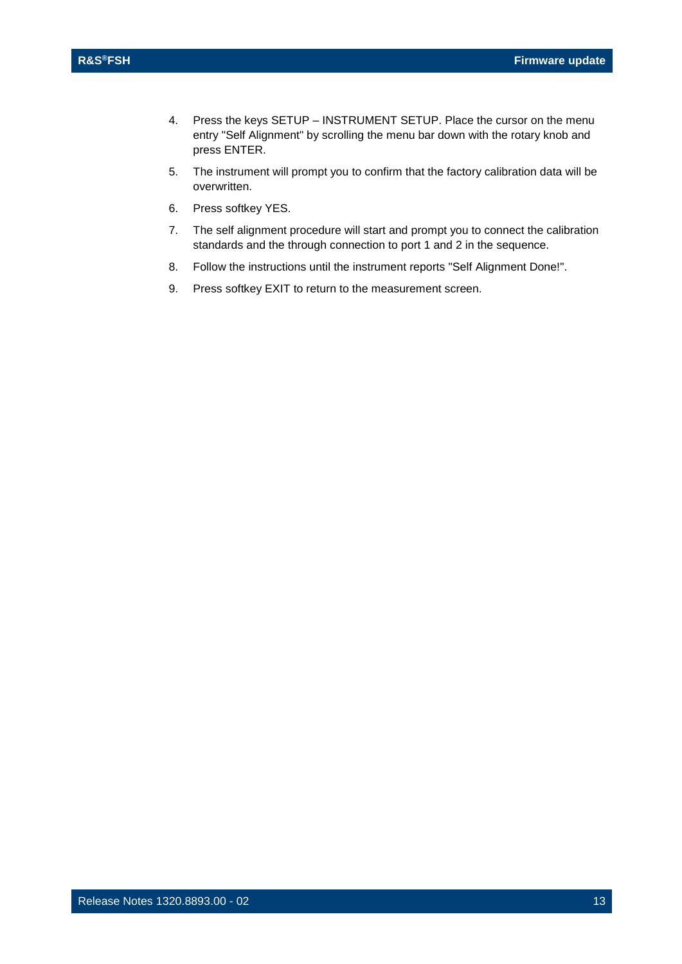- 4. Press the keys SETUP INSTRUMENT SETUP. Place the cursor on the menu entry "Self Alignment" by scrolling the menu bar down with the rotary knob and press ENTER.
- 5. The instrument will prompt you to confirm that the factory calibration data will be overwritten.
- 6. Press softkey YES.
- 7. The self alignment procedure will start and prompt you to connect the calibration standards and the through connection to port 1 and 2 in the sequence.
- 8. Follow the instructions until the instrument reports "Self Alignment Done!".
- 9. Press softkey EXIT to return to the measurement screen.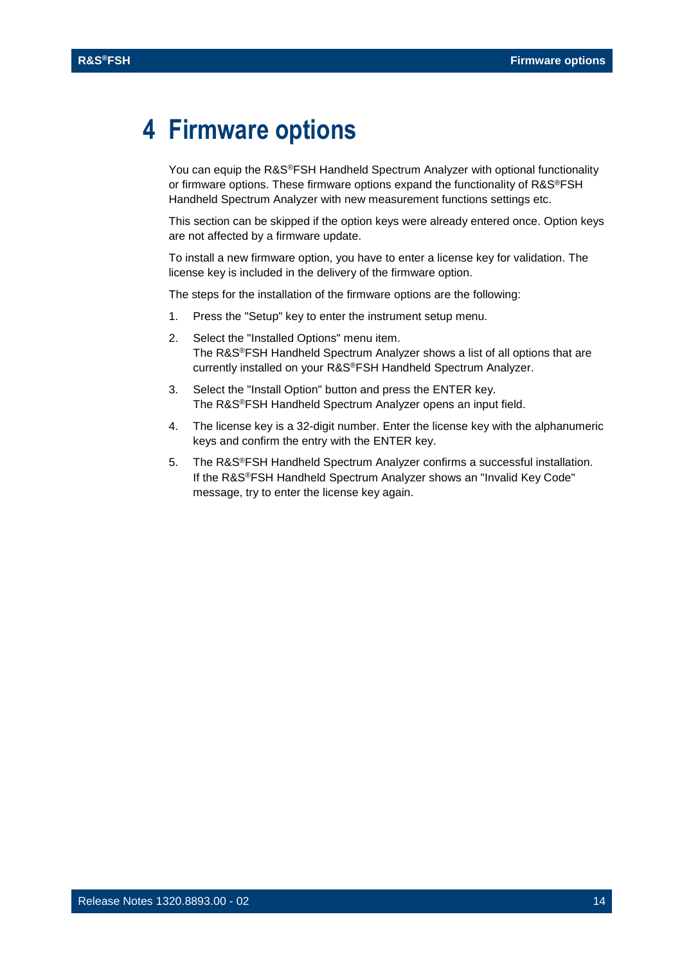## <span id="page-13-0"></span>**4 Firmware options**

You can equip the R&S<sup>®</sup>FSH Handheld Spectrum Analyzer with optional functionality or firmware options. These firmware options expand the functionality of R&S®FSH Handheld Spectrum Analyzer with new measurement functions settings etc.

This section can be skipped if the option keys were already entered once. Option keys are not affected by a firmware update.

To install a new firmware option, you have to enter a license key for validation. The license key is included in the delivery of the firmware option.

The steps for the installation of the firmware options are the following:

- 1. Press the "Setup" key to enter the instrument setup menu.
- 2. Select the "Installed Options" menu item. The R&S®FSH Handheld Spectrum Analyzer shows a list of all options that are currently installed on your R&S®FSH Handheld Spectrum Analyzer.
- 3. Select the "Install Option" button and press the ENTER key. The R&S®FSH Handheld Spectrum Analyzer opens an input field.
- 4. The license key is a 32-digit number. Enter the license key with the alphanumeric keys and confirm the entry with the ENTER key.
- 5. The R&S®FSH Handheld Spectrum Analyzer confirms a successful installation. If the R&S®FSH Handheld Spectrum Analyzer shows an "Invalid Key Code" message, try to enter the license key again.